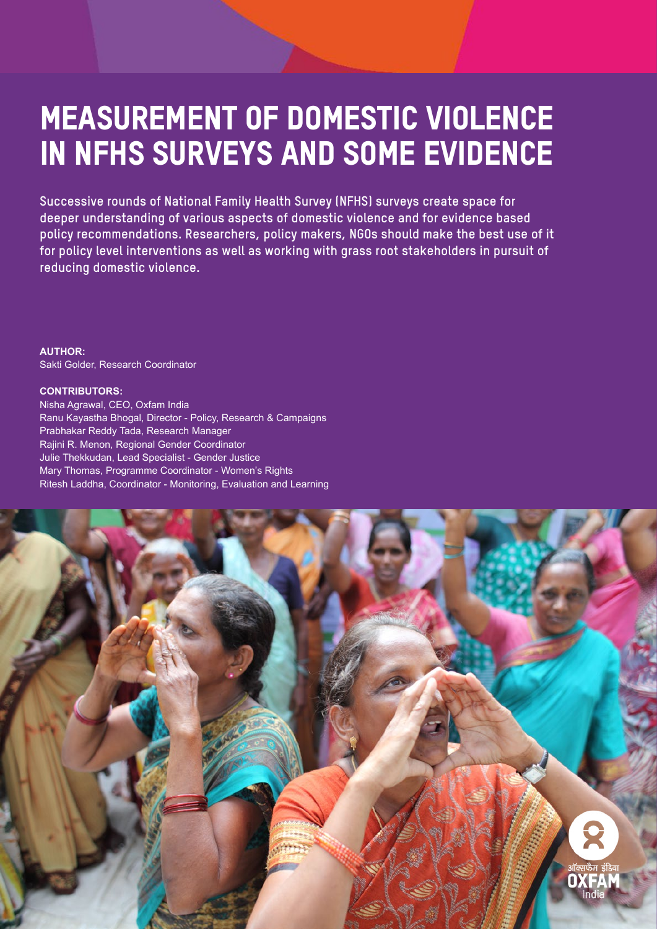# Measurement of Domestic Violence in NFHS Surveys and Some Evidence

**Successive rounds of National Family Health Survey (NFHS) surveys create space for deeper understanding of various aspects of domestic violence and for evidence based policy recommendations. Researchers, policy makers, NGOs should make the best use of it for policy level interventions as well as working with grass root stakeholders in pursuit of reducing domestic violence.**

**AUTHOR:** Sakti Golder, Research Coordinator

#### **CONTRIBUTORS:**

Nisha Agrawal, CEO, Oxfam India Ranu Kayastha Bhogal, Director - Policy, Research & Campaigns Prabhakar Reddy Tada, Research Manager Rajini R. Menon, Regional Gender Coordinator Julie Thekkudan, Lead Specialist - Gender Justice Mary Thomas, Programme Coordinator - Women's Rights Ritesh Laddha, Coordinator - Monitoring, Evaluation and Learning

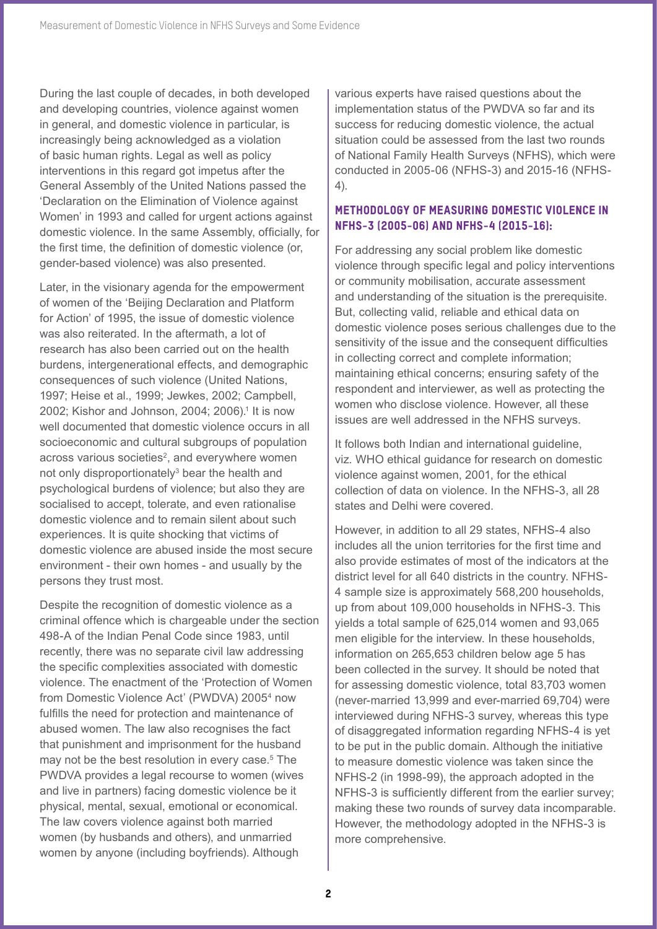During the last couple of decades, in both developed and developing countries, violence against women in general, and domestic violence in particular, is increasingly being acknowledged as a violation of basic human rights. Legal as well as policy interventions in this regard got impetus after the General Assembly of the United Nations passed the 'Declaration on the Elimination of Violence against Women' in 1993 and called for urgent actions against domestic violence. In the same Assembly, officially, for the first time, the definition of domestic violence (or, gender-based violence) was also presented.

Later, in the visionary agenda for the empowerment of women of the 'Beijing Declaration and Platform for Action' of 1995, the issue of domestic violence was also reiterated. In the aftermath, a lot of research has also been carried out on the health burdens, intergenerational effects, and demographic consequences of such violence (United Nations, 1997; Heise et al., 1999; Jewkes, 2002; Campbell, 2002; Kishor and Johnson, 2004; 2006).<sup>1</sup> It is now well documented that domestic violence occurs in all socioeconomic and cultural subgroups of population across various societies<sup>2</sup>, and everywhere women not only disproportionately<sup>3</sup> bear the health and psychological burdens of violence; but also they are socialised to accept, tolerate, and even rationalise domestic violence and to remain silent about such experiences. It is quite shocking that victims of domestic violence are abused inside the most secure environment - their own homes - and usually by the persons they trust most.

Despite the recognition of domestic violence as a criminal offence which is chargeable under the section 498-A of the Indian Penal Code since 1983, until recently, there was no separate civil law addressing the specific complexities associated with domestic violence. The enactment of the 'Protection of Women from Domestic Violence Act' (PWDVA) 2005<sup>4</sup> now fulfills the need for protection and maintenance of abused women. The law also recognises the fact that punishment and imprisonment for the husband may not be the best resolution in every case.<sup>5</sup> The PWDVA provides a legal recourse to women (wives and live in partners) facing domestic violence be it physical, mental, sexual, emotional or economical. The law covers violence against both married women (by husbands and others), and unmarried women by anyone (including boyfriends). Although

various experts have raised questions about the implementation status of the PWDVA so far and its success for reducing domestic violence, the actual situation could be assessed from the last two rounds of National Family Health Surveys (NFHS), which were conducted in 2005-06 (NFHS-3) and 2015-16 (NFHS-4).

## Methodology of Measuring Domestic Violence in NFHS-3 (2005-06) and NFHS-4 (2015-16):

For addressing any social problem like domestic violence through specific legal and policy interventions or community mobilisation, accurate assessment and understanding of the situation is the prerequisite. But, collecting valid, reliable and ethical data on domestic violence poses serious challenges due to the sensitivity of the issue and the consequent difficulties in collecting correct and complete information; maintaining ethical concerns; ensuring safety of the respondent and interviewer, as well as protecting the women who disclose violence. However, all these issues are well addressed in the NFHS surveys.

It follows both Indian and international guideline, viz. WHO ethical guidance for research on domestic violence against women, 2001, for the ethical collection of data on violence. In the NFHS-3, all 28 states and Delhi were covered.

However, in addition to all 29 states, NFHS-4 also includes all the union territories for the first time and also provide estimates of most of the indicators at the district level for all 640 districts in the country. NFHS-4 sample size is approximately 568,200 households, up from about 109,000 households in NFHS-3. This yields a total sample of 625,014 women and 93,065 men eligible for the interview. In these households, information on 265,653 children below age 5 has been collected in the survey. It should be noted that for assessing domestic violence, total 83,703 women (never-married 13,999 and ever-married 69,704) were interviewed during NFHS-3 survey, whereas this type of disaggregated information regarding NFHS-4 is yet to be put in the public domain. Although the initiative to measure domestic violence was taken since the NFHS-2 (in 1998-99), the approach adopted in the NFHS-3 is sufficiently different from the earlier survey; making these two rounds of survey data incomparable. However, the methodology adopted in the NFHS-3 is more comprehensive.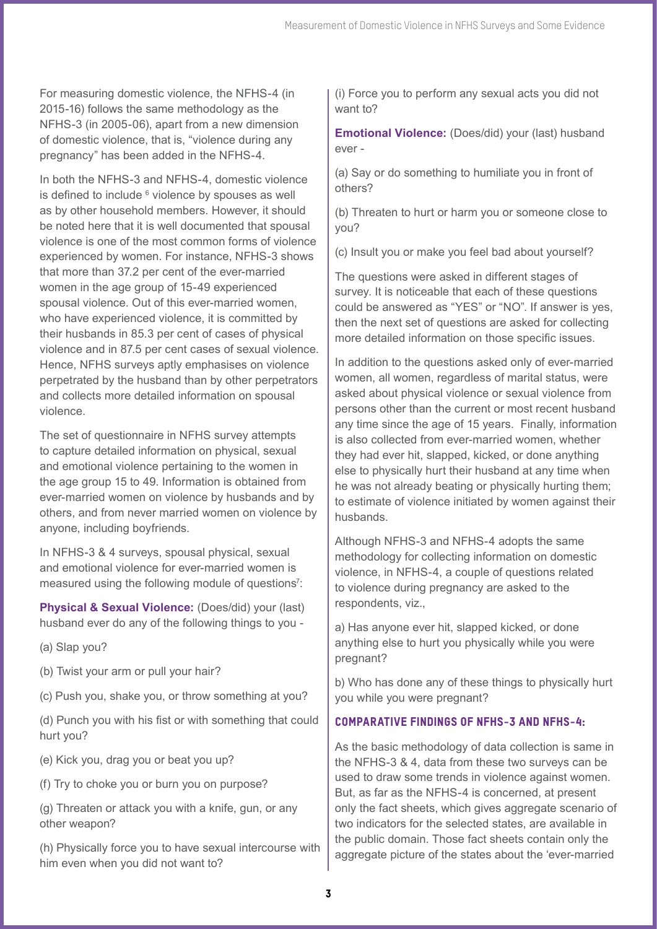For measuring domestic violence, the NFHS-4 (in 2015-16) follows the same methodology as the NFHS-3 (in 2005-06), apart from a new dimension of domestic violence, that is, "violence during any pregnancy" has been added in the NFHS-4.

In both the NFHS-3 and NFHS-4, domestic violence is defined to include  $6$  violence by spouses as well as by other household members. However, it should be noted here that it is well documented that spousal violence is one of the most common forms of violence experienced by women. For instance, NFHS-3 shows that more than 37.2 per cent of the ever-married women in the age group of 15-49 experienced spousal violence. Out of this ever-married women, who have experienced violence, it is committed by their husbands in 85.3 per cent of cases of physical violence and in 87.5 per cent cases of sexual violence. Hence, NFHS surveys aptly emphasises on violence perpetrated by the husband than by other perpetrators and collects more detailed information on spousal violence.

The set of questionnaire in NFHS survey attempts to capture detailed information on physical, sexual and emotional violence pertaining to the women in the age group 15 to 49. Information is obtained from ever-married women on violence by husbands and by others, and from never married women on violence by anyone, including boyfriends.

In NFHS-3 & 4 surveys, spousal physical, sexual and emotional violence for ever-married women is measured using the following module of questions<sup>7</sup>:

**Physical & Sexual Violence:** (Does/did) your (last) husband ever do any of the following things to you -

(a) Slap you?

(b) Twist your arm or pull your hair?

(c) Push you, shake you, or throw something at you?

(d) Punch you with his fist or with something that could hurt you?

(e) Kick you, drag you or beat you up?

(f) Try to choke you or burn you on purpose?

(g) Threaten or attack you with a knife, gun, or any other weapon?

(h) Physically force you to have sexual intercourse with him even when you did not want to?

(i) Force you to perform any sexual acts you did not want to?

**Emotional Violence:** (Does/did) your (last) husband ever -

(a) Say or do something to humiliate you in front of others?

(b) Threaten to hurt or harm you or someone close to you?

(c) Insult you or make you feel bad about yourself?

The questions were asked in different stages of survey. It is noticeable that each of these questions could be answered as "YES" or "NO". If answer is yes, then the next set of questions are asked for collecting more detailed information on those specific issues.

In addition to the questions asked only of ever-married women, all women, regardless of marital status, were asked about physical violence or sexual violence from persons other than the current or most recent husband any time since the age of 15 years. Finally, information is also collected from ever-married women, whether they had ever hit, slapped, kicked, or done anything else to physically hurt their husband at any time when he was not already beating or physically hurting them; to estimate of violence initiated by women against their husbands.

Although NFHS-3 and NFHS-4 adopts the same methodology for collecting information on domestic violence, in NFHS-4, a couple of questions related to violence during pregnancy are asked to the respondents, viz.,

a) Has anyone ever hit, slapped kicked, or done anything else to hurt you physically while you were pregnant?

b) Who has done any of these things to physically hurt you while you were pregnant?

# Comparative Findings of NFHS-3 and NFHS-4:

As the basic methodology of data collection is same in the NFHS-3 & 4, data from these two surveys can be used to draw some trends in violence against women. But, as far as the NFHS-4 is concerned, at present only the fact sheets, which gives aggregate scenario of two indicators for the selected states, are available in the public domain. Those fact sheets contain only the aggregate picture of the states about the 'ever-married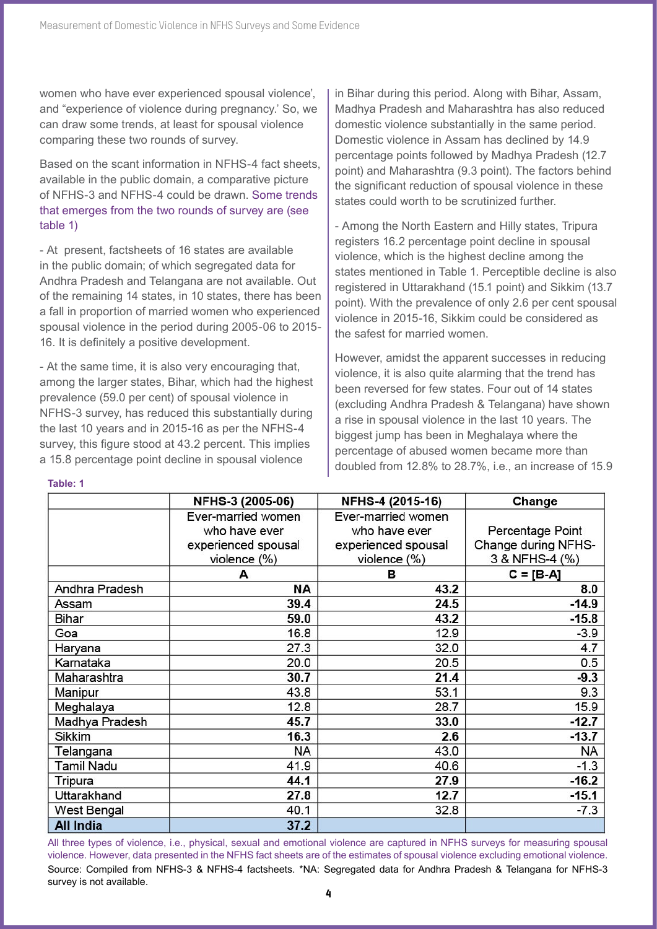women who have ever experienced spousal violence', and "experience of violence during pregnancy.' So, we can draw some trends, at least for spousal violence comparing these two rounds of survey.

Based on the scant information in NFHS-4 fact sheets, available in the public domain, a comparative picture of NFHS-3 and NFHS-4 could be drawn. Some trends that emerges from the two rounds of survey are (see table 1)

- At present, factsheets of 16 states are available in the public domain; of which segregated data for Andhra Pradesh and Telangana are not available. Out of the remaining 14 states, in 10 states, there has been a fall in proportion of married women who experienced spousal violence in the period during 2005-06 to 2015- 16. It is definitely a positive development.

- At the same time, it is also very encouraging that, among the larger states, Bihar, which had the highest prevalence (59.0 per cent) of spousal violence in NFHS-3 survey, has reduced this substantially during the last 10 years and in 2015-16 as per the NFHS-4 survey, this figure stood at 43.2 percent. This implies a 15.8 percentage point decline in spousal violence

in Bihar during this period. Along with Bihar, Assam, Madhya Pradesh and Maharashtra has also reduced domestic violence substantially in the same period. Domestic violence in Assam has declined by 14.9 percentage points followed by Madhya Pradesh (12.7 point) and Maharashtra (9.3 point). The factors behind the significant reduction of spousal violence in these states could worth to be scrutinized further.

- Among the North Eastern and Hilly states, Tripura registers 16.2 percentage point decline in spousal violence, which is the highest decline among the states mentioned in Table 1. Perceptible decline is also registered in Uttarakhand (15.1 point) and Sikkim (13.7 point). With the prevalence of only 2.6 per cent spousal violence in 2015-16, Sikkim could be considered as the safest for married women.

However, amidst the apparent successes in reducing violence, it is also quite alarming that the trend has been reversed for few states. Four out of 14 states (excluding Andhra Pradesh & Telangana) have shown a rise in spousal violence in the last 10 years. The biggest jump has been in Meghalaya where the percentage of abused women became more than doubled from 12.8% to 28.7%, i.e., an increase of 15.9

|                  | NFHS-3 (2005-06)    | NFHS-4 (2015-16)    | Change              |  |
|------------------|---------------------|---------------------|---------------------|--|
|                  | Ever-married women  | Ever-married women  |                     |  |
|                  | who have ever       | who have ever       | Percentage Point    |  |
|                  | experienced spousal | experienced spousal | Change during NFHS- |  |
|                  | violence (%)        | violence $(\%)$     | 3 & NFHS-4 (%)      |  |
|                  | А                   | в                   | $C = [B-A]$         |  |
| Andhra Pradesh   | ΝA                  | 43.2                | 8.0                 |  |
| Assam            | 39.4                | 24.5                | $-14.9$             |  |
| Bihar            | 59.0                | 43.2                | $-15.8$             |  |
| Goa              | 16.8                | 12.9                | $-3.9$              |  |
| Haryana          | 27.3                | 32.0                | 4.7                 |  |
| Karnataka        | 20.0                | 20.5                | 0.5                 |  |
| Maharashtra      | 30.7                | 21.4                | $-9.3$              |  |
| Manipur          | 43.8                | 53.1                | 9.3                 |  |
| Meghalaya        | 12.8                | 28.7                | 15.9                |  |
| Madhya Pradesh   | 45.7                | 33.0                | $-12.7$             |  |
| <b>Sikkim</b>    | 16.3                | 2.6                 | $-13.7$             |  |
| Telangana        | NA                  | 43.0                | <b>NA</b>           |  |
| Tamil Nadu       | 41.9                | 40.6                | $-1.3$              |  |
| Tripura          | 44.1                | 27.9                | $-16.2$             |  |
| Uttarakhand      | 27.8                | 12.7                | $-15.1$             |  |
| West Bengal      | 40.1                | 32.8                | $-7.3$              |  |
| <b>All India</b> | 37.2                |                     |                     |  |

Source: Compiled from NFHS-3 & NFHS-4 factsheets. \*NA: Segregated data for Andhra Pradesh & Telangana for NFHS-3 survey is not available. All three types of violence, i.e., physical, sexual and emotional violence are captured in NFHS surveys for measuring spousal violence. However, data presented in the NFHS fact sheets are of the estimates of spousal violence excluding emotional violence.

## **Table: 1**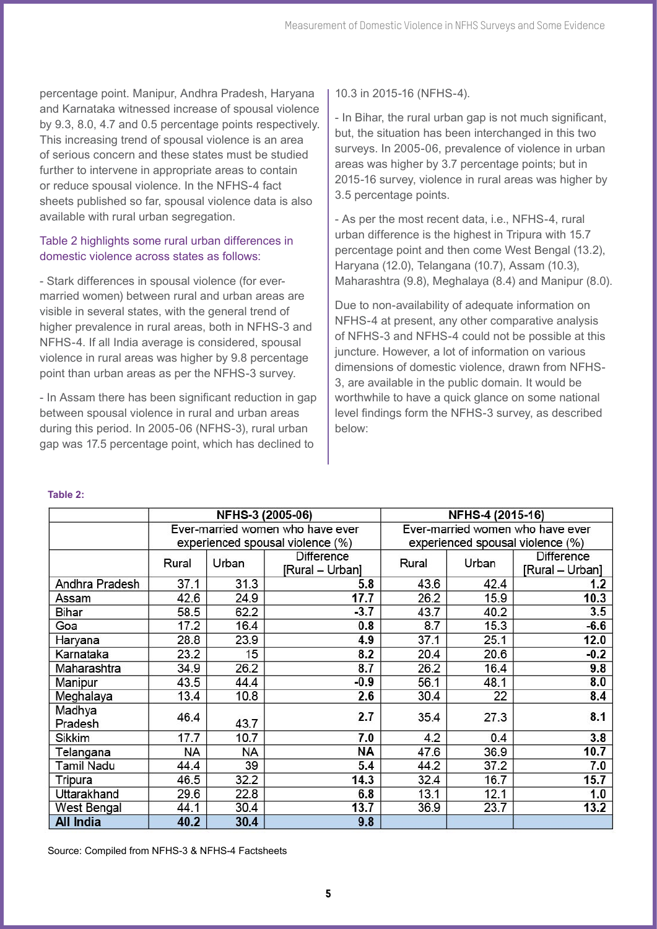percentage point. Manipur, Andhra Pradesh, Haryana and Karnataka witnessed increase of spousal violence by 9.3, 8.0, 4.7 and 0.5 percentage points respectively. This increasing trend of spousal violence is an area of serious concern and these states must be studied further to intervene in appropriate areas to contain or reduce spousal violence. In the NFHS-4 fact sheets published so far, spousal violence data is also available with rural urban segregation.

# Table 2 highlights some rural urban differences in domestic violence across states as follows:

- Stark differences in spousal violence (for evermarried women) between rural and urban areas are visible in several states, with the general trend of higher prevalence in rural areas, both in NFHS-3 and NFHS-4. If all India average is considered, spousal violence in rural areas was higher by 9.8 percentage point than urban areas as per the NFHS-3 survey.

- In Assam there has been significant reduction in gap between spousal violence in rural and urban areas during this period. In 2005-06 (NFHS-3), rural urban gap was 17.5 percentage point, which has declined to

10.3 in 2015-16 (NFHS-4).

- In Bihar, the rural urban gap is not much significant, but, the situation has been interchanged in this two surveys. In 2005-06, prevalence of violence in urban areas was higher by 3.7 percentage points; but in 2015-16 survey, violence in rural areas was higher by 3.5 percentage points.

- As per the most recent data, i.e., NFHS-4, rural urban difference is the highest in Tripura with 15.7 percentage point and then come West Bengal (13.2), Haryana (12.0), Telangana (10.7), Assam (10.3), Maharashtra (9.8), Meghalaya (8.4) and Manipur (8.0).

Due to non-availability of adequate information on NFHS-4 at present, any other comparative analysis of NFHS-3 and NFHS-4 could not be possible at this juncture. However, a lot of information on various dimensions of domestic violence, drawn from NFHS-3, are available in the public domain. It would be worthwhile to have a quick glance on some national level findings form the NFHS-3 survey, as described below:

## **Table 2:**

|                   | NFHS-3 (2005-06)                 |       |                 | NFHS-4 (2015-16)                 |       |                 |
|-------------------|----------------------------------|-------|-----------------|----------------------------------|-------|-----------------|
|                   | Ever-married women who have ever |       |                 | Ever-married women who have ever |       |                 |
|                   | experienced spousal violence (%) |       |                 | experienced spousal violence (%) |       |                 |
|                   | Rural                            | Urban | Difference      | Rural                            | Urban | Difference      |
|                   |                                  |       | [Rural - Urban] |                                  |       | [Rural – Urban] |
| Andhra Pradesh    | 37.1                             | 31.3  | 5.8             | 43.6                             | 42.4  | 1.2             |
| Assam             | 42.6                             | 24.9  | 17.7            | 26.2                             | 15.9  | 10.3            |
| Bihar             | 58.5                             | 62.2  | $-3.7$          | 43.7                             | 40.2  | 3.5             |
| Goa               | 17.2                             | 16.4  | 0.8             | 8.7                              | 15.3  | $-6.6$          |
| Haryana           | 28.8                             | 23.9  | 4.9             | 37.1                             | 25.1  | 12.0            |
| Karnataka         | 23.2                             | 15    | 8.2             | 20.4                             | 20.6  | $-0.2$          |
| Maharashtra       | 34.9                             | 26.2  | 8.7             | 26.2                             | 16.4  | 9.8             |
| Manipur           | 43.5                             | 44.4  | $-0.9$          | 56.1                             | 48.1  | 8.0             |
| Meghalaya         | 13.4                             | 10.8  | 2.6             | 30.4                             | 22    | 8.4             |
| Madhya            | 46.4                             | 43.7  | 2.7             | 35.4                             | 27.3  | 8.1             |
| Pradesh           |                                  |       |                 |                                  |       |                 |
| Sikkim            | 17.7                             | 10.7  | 7.0             | 4.2                              | 0.4   | 3.8             |
| Telangana         | <b>NA</b>                        | NA    | ΝA              | 47.6                             | 36.9  | 10.7            |
| <b>Tamil Nadu</b> | 44.4                             | 39    | 5.4             | 44.2                             | 37.2  | 7.0             |
| Tripura           | 46.5                             | 32.2  | 14.3            | 32.4                             | 16.7  | 15.7            |
| Uttarakhand       | 29.6                             | 22.8  | 6.8             | 13.1                             | 12.1  | 1.0             |
| West Bengal       | 44.1                             | 30.4  | 13.7            | 36.9                             | 23.7  | 13.2            |
| <b>All India</b>  | 40.2                             | 30.4  | 9.8             |                                  |       |                 |

Source: Compiled from NFHS-3 & NFHS-4 Factsheets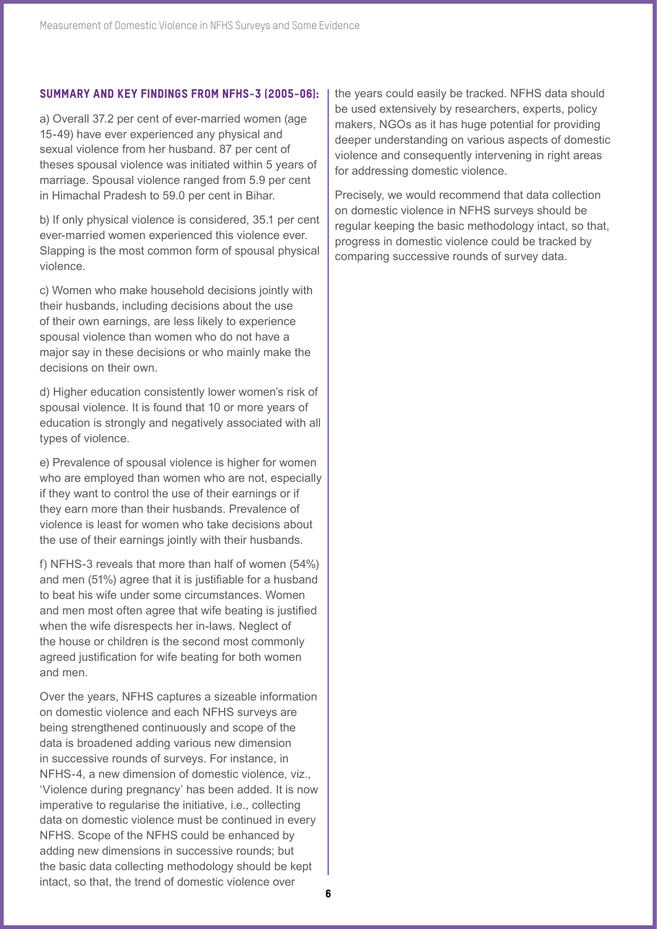## Summary and Key Findings from NFHS-3 (2005-06):

a) Overall 37.2 per cent of ever-married women (age 15-49) have ever experienced any physical and sexual violence from her husband. 87 per cent of theses spousal violence was initiated within 5 years of marriage. Spousal violence ranged from 5.9 per cent in Himachal Pradesh to 59.0 per cent in Bihar.

b) If only physical violence is considered, 35.1 per cent ever-married women experienced this violence ever. Slapping is the most common form of spousal physical violence.

c) Women who make household decisions jointly with their husbands, including decisions about the use of their own earnings, are less likely to experience spousal violence than women who do not have a major say in these decisions or who mainly make the decisions on their own.

d) Higher education consistently lower women's risk of spousal violence. It is found that 10 or more years of education is strongly and negatively associated with all types of violence.

e) Prevalence of spousal violence is higher for women who are employed than women who are not, especially if they want to control the use of their earnings or if they earn more than their husbands. Prevalence of violence is least for women who take decisions about the use of their earnings jointly with their husbands.

f) NFHS-3 reveals that more than half of women (54%) and men (51%) agree that it is justifiable for a husband to beat his wife under some circumstances. Women and men most often agree that wife beating is justified when the wife disrespects her in-laws. Neglect of the house or children is the second most commonly agreed justification for wife beating for both women and men.

Over the years, NFHS captures a sizeable information on domestic violence and each NFHS surveys are being strengthened continuously and scope of the data is broadened adding various new dimension in successive rounds of surveys. For instance, in NFHS-4, a new dimension of domestic violence, viz., 'Violence during pregnancy' has been added. It is now imperative to regularise the initiative, i.e., collecting data on domestic violence must be continued in every NFHS. Scope of the NFHS could be enhanced by adding new dimensions in successive rounds; but the basic data collecting methodology should be kept intact, so that, the trend of domestic violence over

the years could easily be tracked. NFHS data should be used extensively by researchers, experts, policy makers, NGOs as it has huge potential for providing deeper understanding on various aspects of domestic violence and consequently intervening in right areas for addressing domestic violence.

Precisely, we would recommend that data collection on domestic violence in NFHS surveys should be regular keeping the basic methodology intact, so that, progress in domestic violence could be tracked by comparing successive rounds of survey data.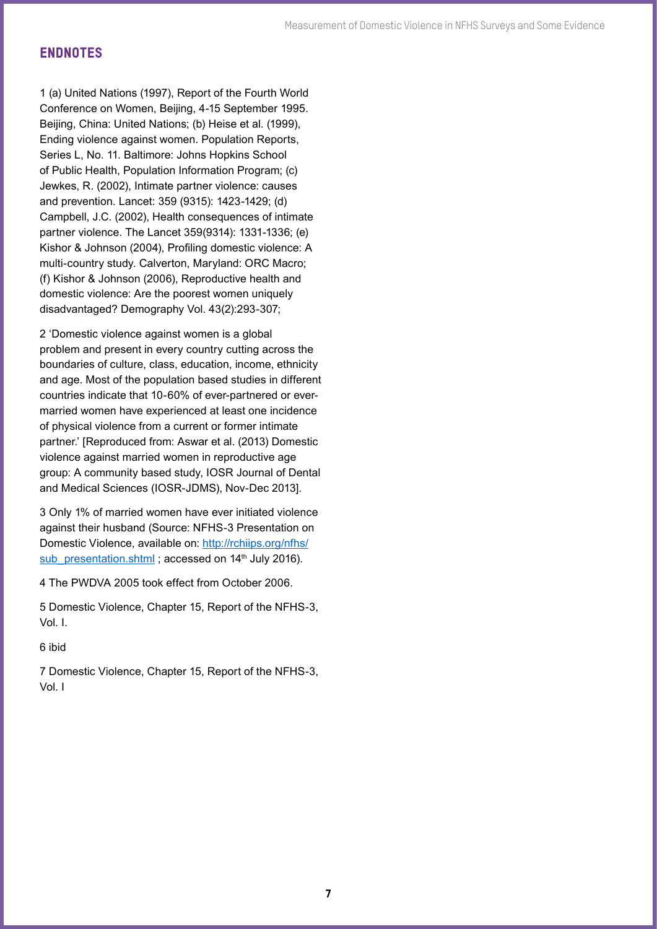# ENDNOTES

1 (a) United Nations (1997), Report of the Fourth World Conference on Women, Beijing, 4-15 September 1995. Beijing, China: United Nations; (b) Heise et al. (1999), Ending violence against women. Population Reports, Series L, No. 11. Baltimore: Johns Hopkins School of Public Health, Population Information Program; (c) Jewkes, R. (2002), Intimate partner violence: causes and prevention. Lancet: 359 (9315): 1423-1429; (d) Campbell, J.C. (2002), Health consequences of intimate partner violence. The Lancet 359(9314): 1331-1336; (e) Kishor & Johnson (2004), Profiling domestic violence: A multi-country study. Calverton, Maryland: ORC Macro; (f) Kishor & Johnson (2006), Reproductive health and domestic violence: Are the poorest women uniquely disadvantaged? Demography Vol. 43(2):293-307;

2 'Domestic violence against women is a global problem and present in every country cutting across the boundaries of culture, class, education, income, ethnicity and age. Most of the population based studies in different countries indicate that 10-60% of ever-partnered or evermarried women have experienced at least one incidence of physical violence from a current or former intimate partner.' [Reproduced from: Aswar et al. (2013) Domestic violence against married women in reproductive age group: A community based study, IOSR Journal of Dental and Medical Sciences (IOSR-JDMS), Nov-Dec 2013].

3 Only 1% of married women have ever initiated violence against their husband (Source: NFHS-3 Presentation on Domestic Violence, available on: [http://rchiips.org/nfhs/](http://rchiips.org/nfhs/sub_presentation.shtml) sub presentation.shtml; accessed on 14<sup>th</sup> July 2016).

4 The PWDVA 2005 took effect from October 2006.

5 Domestic Violence, Chapter 15, Report of the NFHS-3, Vol. I.

6 ibid

7 Domestic Violence, Chapter 15, Report of the NFHS-3, Vol. I